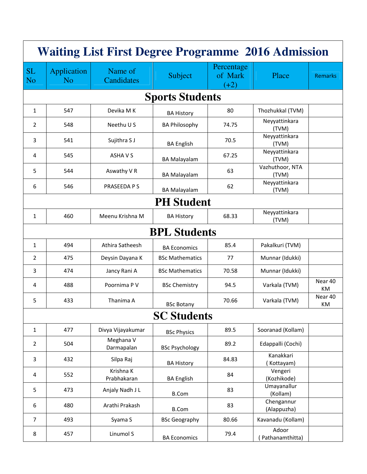| <b>Waiting List First Degree Programme 2016 Admission</b> |                                      |                          |                        |                                 |                           |                          |  |  |
|-----------------------------------------------------------|--------------------------------------|--------------------------|------------------------|---------------------------------|---------------------------|--------------------------|--|--|
| <b>SL</b><br><b>No</b>                                    | <b>Application</b><br>N <sub>o</sub> | Name of<br>Candidates    | Subject                | Percentage<br>of Mark<br>$(+2)$ | Place                     | <b>Remarks</b>           |  |  |
|                                                           |                                      |                          | <b>Sports Students</b> |                                 |                           |                          |  |  |
| $\mathbf{1}$                                              | 547                                  | Devika M K               | <b>BA History</b>      | 80                              | Thozhukkal (TVM)          |                          |  |  |
| 2                                                         | 548                                  | Neethu U S               | <b>BA Philosophy</b>   | 74.75                           | Neyyattinkara<br>(TVM)    |                          |  |  |
| 3                                                         | 541                                  | Sujithra S J             | <b>BA English</b>      | 70.5                            | Neyyattinkara<br>(TVM)    |                          |  |  |
| 4                                                         | 545                                  | ASHA V S                 | <b>BA Malayalam</b>    | 67.25                           | Neyyattinkara<br>(TVM)    |                          |  |  |
| 5                                                         | 544                                  | Aswathy V R              | <b>BA Malayalam</b>    | 63                              | Vazhuthoor, NTA<br>(TVM)  |                          |  |  |
| 6                                                         | 546                                  | PRASEEDA P S             | <b>BA Malayalam</b>    | 62                              | Neyyattinkara<br>(TVM)    |                          |  |  |
|                                                           | <b>PH Student</b>                    |                          |                        |                                 |                           |                          |  |  |
| $\mathbf{1}$                                              | 460                                  | Meenu Krishna M          | <b>BA History</b>      | 68.33                           | Neyyattinkara<br>(TVM)    |                          |  |  |
|                                                           |                                      |                          | <b>BPL Students</b>    |                                 |                           |                          |  |  |
| $\mathbf{1}$                                              | 494                                  | Athira Satheesh          | <b>BA Economics</b>    | 85.4                            | Pakalkuri (TVM)           |                          |  |  |
| 2                                                         | 475                                  | Deysin Dayana K          | <b>BSc Mathematics</b> | 77                              | Munnar (Idukki)           |                          |  |  |
| 3                                                         | 474                                  | Jancy Rani A             | <b>BSc Mathematics</b> | 70.58                           | Munnar (Idukki)           |                          |  |  |
| 4                                                         | 488                                  | Poornima P V             | <b>BSc Chemistry</b>   | 94.5                            | Varkala (TVM)             | Near 40<br><b>KM</b>     |  |  |
| 5                                                         | 433                                  | Thanima A                | <b>BSc Botany</b>      | 70.66                           | Varkala (TVM)             | Near <sub>40</sub><br>KM |  |  |
|                                                           |                                      |                          | <b>SC Students</b>     |                                 |                           |                          |  |  |
| $\mathbf{1}$                                              | 477                                  | Divya Vijayakumar        | <b>BSc Physics</b>     | 89.5                            | Sooranad (Kollam)         |                          |  |  |
| 2                                                         | 504                                  | Meghana V<br>Darmapalan  | <b>BSc Psychology</b>  | 89.2                            | Edappalli (Cochi)         |                          |  |  |
| 3                                                         | 432                                  | Silpa Raj                | <b>BA History</b>      | 84.83                           | Kanakkari<br>Kottayam)    |                          |  |  |
| 4                                                         | 552                                  | Krishna K<br>Prabhakaran | <b>BA English</b>      | 84                              | Vengeri<br>(Kozhikode)    |                          |  |  |
| 5                                                         | 473                                  | Anjaly Nadh J L          | <b>B.Com</b>           | 83                              | Umayanallur<br>(Kollam)   |                          |  |  |
| 6                                                         | 480                                  | Arathi Prakash           | <b>B.Com</b>           | 83                              | Chengannur<br>(Alappuzha) |                          |  |  |
| $\overline{7}$                                            | 493                                  | Syama S                  | <b>BSc Geography</b>   | 80.66                           | Kavanadu (Kollam)         |                          |  |  |
| 8                                                         | 457                                  | Linumol S                | <b>BA Economics</b>    | 79.4                            | Adoor<br>Pathanamthitta)  |                          |  |  |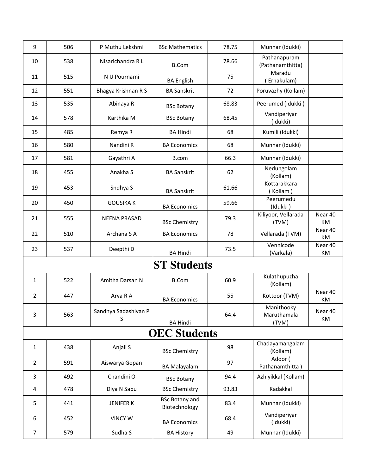| 9                   | 506 | P Muthu Lekshmi           | <b>BSc Mathematics</b>                 | 78.75 | Munnar (Idukki)                    |               |  |
|---------------------|-----|---------------------------|----------------------------------------|-------|------------------------------------|---------------|--|
| 10                  | 538 | Nisarichandra RL          | <b>B.Com</b>                           | 78.66 | Pathanapuram<br>(Pathanamthitta)   |               |  |
| 11                  | 515 | N U Pournami              | <b>BA English</b>                      | 75    | Maradu<br>Ernakulam)               |               |  |
| 12                  | 551 | Bhagya Krishnan R S       | <b>BA Sanskrit</b>                     | 72    | Poruvazhy (Kollam)                 |               |  |
| 13                  | 535 | Abinaya R                 | <b>BSc Botany</b>                      | 68.83 | Peerumed (Idukki)                  |               |  |
| 14                  | 578 | Karthika M                | <b>BSc Botany</b>                      | 68.45 | Vandiperiyar<br>(Idukki)           |               |  |
| 15                  | 485 | Remya R                   | <b>BA Hindi</b>                        | 68    | Kumili (Idukki)                    |               |  |
| 16                  | 580 | Nandini R                 | <b>BA Economics</b>                    | 68    | Munnar (Idukki)                    |               |  |
| 17                  | 581 | Gayathri A                | B.com                                  | 66.3  | Munnar (Idukki)                    |               |  |
| 18                  | 455 | Anakha S                  | <b>BA Sanskrit</b>                     | 62    | Nedungolam<br>(Kollam)             |               |  |
| 19                  | 453 | Sndhya S                  | <b>BA Sanskrit</b>                     | 61.66 | Kottarakkara<br>(Kollam)           |               |  |
| 20                  | 450 | <b>GOUSIKA K</b>          | <b>BA Economics</b>                    | 59.66 | Peerumedu<br>(Idukki)              |               |  |
| 21                  | 555 | <b>NEENA PRASAD</b>       | <b>BSc Chemistry</b>                   | 79.3  | Kiliyoor, Vellarada<br>(TVM)       | Near 40<br>KM |  |
| 22                  | 510 | Archana S A               | <b>BA Economics</b>                    | 78    | Vellarada (TVM)                    | Near 40<br>KM |  |
| 23                  | 537 | Deepthi D                 | <b>BA Hindi</b>                        | 73.5  | Vennicode<br>(Varkala)             | Near 40<br>KM |  |
|                     |     |                           | <b>ST Students</b>                     |       |                                    |               |  |
| $\mathbf{1}$        | 522 | Amitha Darsan N           | <b>B.Com</b>                           | 60.9  | Kulathupuzha<br>(Kollam)           |               |  |
| $\overline{2}$      | 447 | Arya R A                  | <b>BA Economics</b>                    | 55    | Kottoor (TVM)                      | Near 40<br>KM |  |
| 3                   | 563 | Sandhya Sadashivan P<br>S | <b>BA Hindi</b>                        | 64.4  | Manithooky<br>Maruthamala<br>(TVM) | Near 40<br>KM |  |
| <b>OEC Students</b> |     |                           |                                        |       |                                    |               |  |
| $\mathbf{1}$        | 438 | Anjali S                  | <b>BSc Chemistry</b>                   | 98    | Chadayamangalam<br>(Kollam)        |               |  |
| $\overline{2}$      | 591 | Aiswarya Gopan            | <b>BA Malayalam</b>                    | 97    | Adoor (<br>Pathanamthitta)         |               |  |
| 3                   | 492 | Chandini O                | <b>BSc Botany</b>                      | 94.4  | Azhiyikkal (Kollam)                |               |  |
| 4                   | 478 | Diya N Sabu               | <b>BSc Chemistry</b>                   | 93.83 | Kadakkal                           |               |  |
| 5                   | 441 | <b>JENIFER K</b>          | <b>BSc Botany and</b><br>Biotechnology | 83.4  | Munnar (Idukki)                    |               |  |
| 6                   | 452 | <b>VINCY W</b>            | <b>BA Economics</b>                    | 68.4  | Vandiperiyar<br>(Idukki)           |               |  |
| $\overline{7}$      | 579 | Sudha S                   | <b>BA History</b>                      | 49    | Munnar (Idukki)                    |               |  |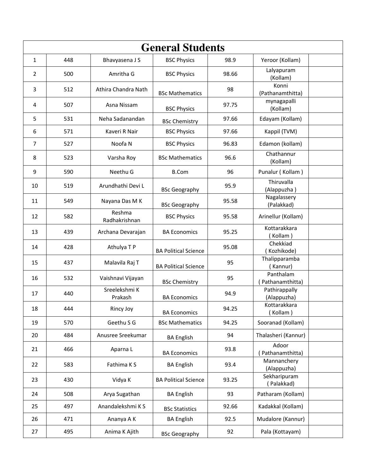| <b>General Students</b> |     |                          |                             |       |                              |  |
|-------------------------|-----|--------------------------|-----------------------------|-------|------------------------------|--|
| $\mathbf{1}$            | 448 | Bhavyasena J S           | <b>BSC Physics</b>          | 98.9  | Yeroor (Kollam)              |  |
| $\overline{2}$          | 500 | Amritha G                | <b>BSC Physics</b>          | 98.66 | Lalyapuram<br>(Kollam)       |  |
| 3                       | 512 | Athira Chandra Nath      | <b>BSc Mathematics</b>      | 98    | Konni<br>(Pathanamthitta)    |  |
| 4                       | 507 | Asna Nissam              | <b>BSC Physics</b>          | 97.75 | mynagapalli<br>(Kollam)      |  |
| 5                       | 531 | Neha Sadanandan          | <b>BSc Chemistry</b>        | 97.66 | Edayam (Kollam)              |  |
| 6                       | 571 | Kaveri R Nair            | <b>BSC Physics</b>          | 97.66 | Kappil (TVM)                 |  |
| 7                       | 527 | Noofa <sub>N</sub>       | <b>BSC Physics</b>          | 96.83 | Edamon (kollam)              |  |
| 8                       | 523 | Varsha Roy               | <b>BSc Mathematics</b>      | 96.6  | Chathannur<br>(Kollam)       |  |
| 9                       | 590 | Neethu G                 | <b>B.Com</b>                | 96    | Punalur (Kollam)             |  |
| 10                      | 519 | Arundhathi Devi L        | <b>BSc Geography</b>        | 95.9  | Thiruvalla<br>(Alappuzha)    |  |
| 11                      | 549 | Nayana Das M K           | <b>BSc Geography</b>        | 95.58 | Nagalassery<br>(Palakkad)    |  |
| 12                      | 582 | Reshma<br>Radhakrishnan  | <b>BSC Physics</b>          | 95.58 | Arinellur (Kollam)           |  |
| 13                      | 439 | Archana Devarajan        | <b>BA Economics</b>         | 95.25 | Kottarakkara<br>(Kollam)     |  |
| 14                      | 428 | Athulya T P              | <b>BA Political Science</b> | 95.08 | Chekkiad<br>Kozhikode)       |  |
| 15                      | 437 | Malavila Raj T           | <b>BA Political Science</b> | 95    | Thalipparamba<br>(Kannur)    |  |
| 16                      | 532 | Vaishnavi Vijayan        | <b>BSc Chemistry</b>        | 95    | Panthalam<br>Pathanamthitta) |  |
| 17                      | 440 | Sreelekshmi K<br>Prakash | <b>BA Economics</b>         | 94.9  | Pathirappally<br>(Alappuzha) |  |
| 18                      | 444 | Rincy Joy                | <b>BA Economics</b>         | 94.25 | Kottarakkara<br>(Kollam)     |  |
| 19                      | 570 | Geethu S G               | <b>BSc Mathematics</b>      | 94.25 | Sooranad (Kollam)            |  |
| 20                      | 484 | Anusree Sreekumar        | <b>BA English</b>           | 94    | Thalasheri (Kannur)          |  |
| 21                      | 466 | Aparna L                 | <b>BA Economics</b>         | 93.8  | Adoor<br>Pathanamthitta)     |  |
| 22                      | 583 | Fathima KS               | <b>BA English</b>           | 93.4  | Mannanchery<br>(Alappuzha)   |  |
| 23                      | 430 | Vidya K                  | <b>BA Political Science</b> | 93.25 | Sekharipuram<br>(Palakkad)   |  |
| 24                      | 508 | Arya Sugathan            | <b>BA English</b>           | 93    | Patharam (Kollam)            |  |
| 25                      | 497 | Anandalekshmi K S        | <b>BSc Statistics</b>       | 92.66 | Kadakkal (Kollam)            |  |
| 26                      | 471 | Ananya A K               | <b>BA English</b>           | 92.5  | Mudalore (Kannur)            |  |
| 27                      | 495 | Anima K Ajith            | <b>BSc Geography</b>        | 92    | Pala (Kottayam)              |  |